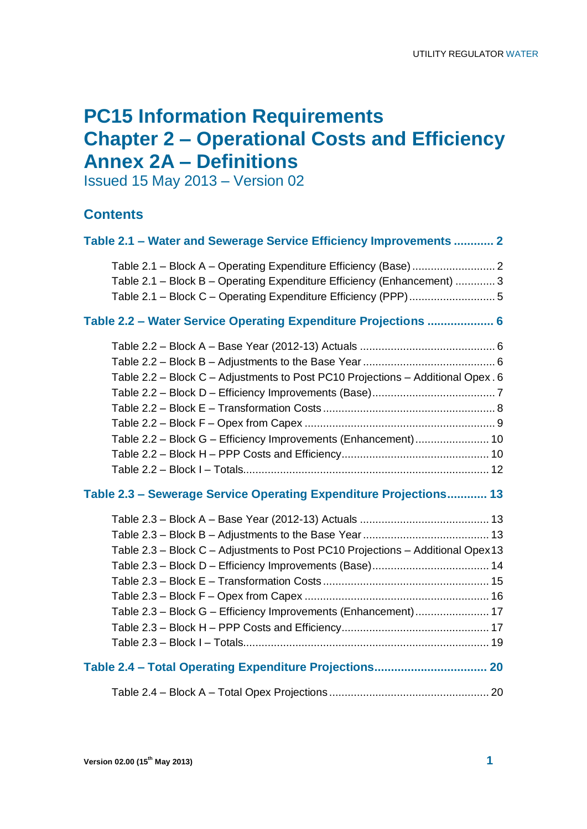# **PC15 Information Requirements Chapter 2 – Operational Costs and Efficiency Annex 2A – Definitions**

Issued 15 May 2013 – Version 02

## **Contents**

| Table 2.1 - Water and Sewerage Service Efficiency Improvements  2                                                                                  |
|----------------------------------------------------------------------------------------------------------------------------------------------------|
| Table 2.1 - Block B - Operating Expenditure Efficiency (Enhancement)  3                                                                            |
| Table 2.2 - Water Service Operating Expenditure Projections  6                                                                                     |
| Table 2.2 - Block C - Adjustments to Post PC10 Projections - Additional Opex . 6<br>Table 2.2 - Block G - Efficiency Improvements (Enhancement) 10 |
| Table 2.3 - Sewerage Service Operating Expenditure Projections 13                                                                                  |
| Table 2.3 - Block C - Adjustments to Post PC10 Projections - Additional Opex13<br>Table 2.3 - Block G - Efficiency Improvements (Enhancement) 17   |
|                                                                                                                                                    |
|                                                                                                                                                    |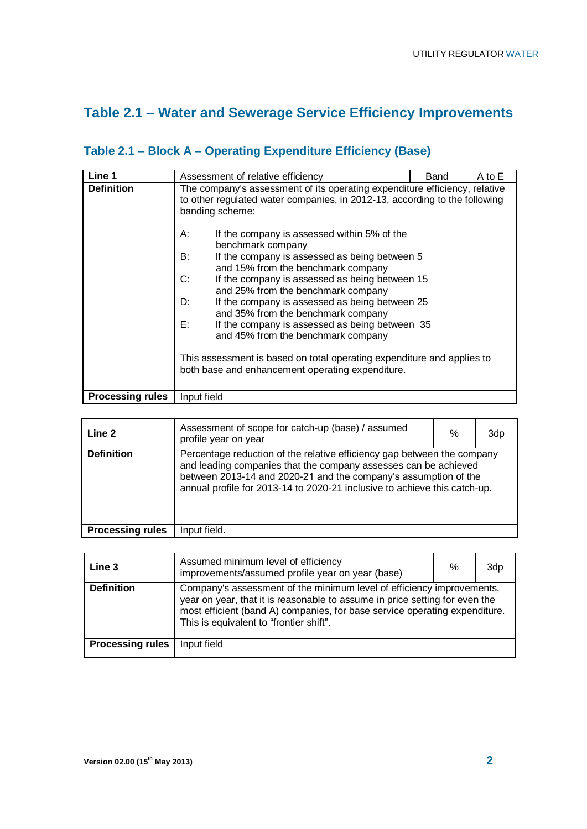# **Table 2.1 – Water and Sewerage Service Efficiency Improvements**

| Line 1                  | Assessment of relative efficiency                                                                                                                                                                                                                                                                                                                                                                                                                                                                                                                                                                                                                                                                                                                                          | Band | A to E |
|-------------------------|----------------------------------------------------------------------------------------------------------------------------------------------------------------------------------------------------------------------------------------------------------------------------------------------------------------------------------------------------------------------------------------------------------------------------------------------------------------------------------------------------------------------------------------------------------------------------------------------------------------------------------------------------------------------------------------------------------------------------------------------------------------------------|------|--------|
| <b>Definition</b>       | The company's assessment of its operating expenditure efficiency, relative<br>to other regulated water companies, in 2012-13, according to the following<br>banding scheme:<br>А:<br>If the company is assessed within 5% of the<br>benchmark company<br>If the company is assessed as being between 5<br>B:<br>and 15% from the benchmark company<br>C:<br>If the company is assessed as being between 15<br>and 25% from the benchmark company<br>D:<br>If the company is assessed as being between 25<br>and 35% from the benchmark company<br>E:<br>If the company is assessed as being between 35<br>and 45% from the benchmark company<br>This assessment is based on total operating expenditure and applies to<br>both base and enhancement operating expenditure. |      |        |
| <b>Processing rules</b> | Input field                                                                                                                                                                                                                                                                                                                                                                                                                                                                                                                                                                                                                                                                                                                                                                |      |        |

# **Table 2.1 – Block A – Operating Expenditure Efficiency (Base)**

| Line 2                  | Assessment of scope for catch-up (base) / assumed<br>profile year on year                                                                                                                                                                                                                  | % | 3dp |
|-------------------------|--------------------------------------------------------------------------------------------------------------------------------------------------------------------------------------------------------------------------------------------------------------------------------------------|---|-----|
| <b>Definition</b>       | Percentage reduction of the relative efficiency gap between the company<br>and leading companies that the company assesses can be achieved<br>between 2013-14 and 2020-21 and the company's assumption of the<br>annual profile for 2013-14 to 2020-21 inclusive to achieve this catch-up. |   |     |
| <b>Processing rules</b> | Input field.                                                                                                                                                                                                                                                                               |   |     |

| Line 3                  | Assumed minimum level of efficiency<br>improvements/assumed profile year on year (base)                                                                                                                                                                                       | % | 3dp |
|-------------------------|-------------------------------------------------------------------------------------------------------------------------------------------------------------------------------------------------------------------------------------------------------------------------------|---|-----|
| <b>Definition</b>       | Company's assessment of the minimum level of efficiency improvements,<br>year on year, that it is reasonable to assume in price setting for even the<br>most efficient (band A) companies, for base service operating expenditure.<br>This is equivalent to "frontier shift". |   |     |
| <b>Processing rules</b> | Input field                                                                                                                                                                                                                                                                   |   |     |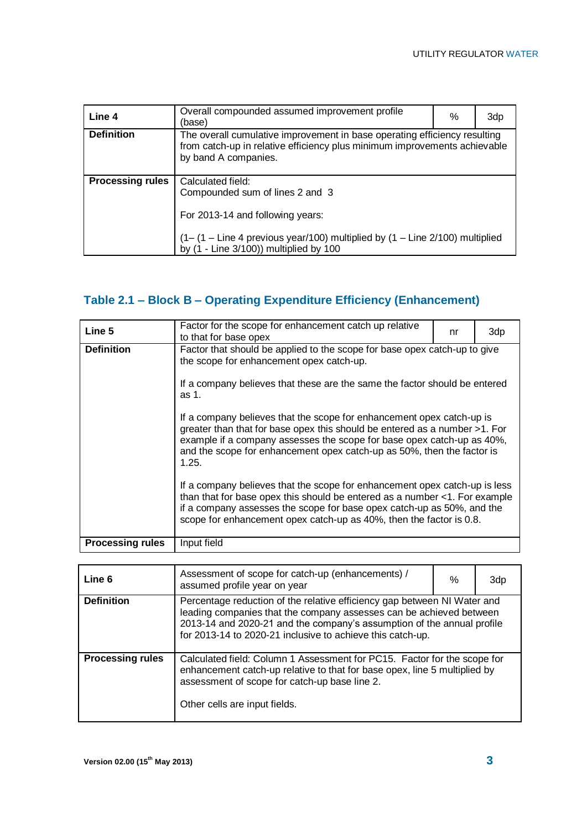| Line 4                  | Overall compounded assumed improvement profile<br>(base)                                                                                                                                                      | % | 3dp |
|-------------------------|---------------------------------------------------------------------------------------------------------------------------------------------------------------------------------------------------------------|---|-----|
| <b>Definition</b>       | The overall cumulative improvement in base operating efficiency resulting<br>from catch-up in relative efficiency plus minimum improvements achievable<br>by band A companies.                                |   |     |
| <b>Processing rules</b> | Calculated field:<br>Compounded sum of lines 2 and 3<br>For 2013-14 and following years:<br>(1-(1-Line 4 previous year/100) multiplied by (1-Line 2/100) multiplied<br>by (1 - Line 3/100)) multiplied by 100 |   |     |

# **Table 2.1 – Block B – Operating Expenditure Efficiency (Enhancement)**

| Line 5                  | Factor for the scope for enhancement catch up relative<br>to that for base opex                                                                                                                                                                                                                                  | nr | 3dp |  |
|-------------------------|------------------------------------------------------------------------------------------------------------------------------------------------------------------------------------------------------------------------------------------------------------------------------------------------------------------|----|-----|--|
| <b>Definition</b>       | Factor that should be applied to the scope for base opex catch-up to give<br>the scope for enhancement opex catch-up.<br>If a company believes that these are the same the factor should be entered<br>as 1.                                                                                                     |    |     |  |
|                         | If a company believes that the scope for enhancement opex catch-up is<br>greater than that for base opex this should be entered as a number >1. For<br>example if a company assesses the scope for base opex catch-up as 40%,<br>and the scope for enhancement opex catch-up as 50%, then the factor is<br>1.25. |    |     |  |
|                         | If a company believes that the scope for enhancement opex catch-up is less<br>than that for base opex this should be entered as a number <1. For example<br>if a company assesses the scope for base opex catch-up as 50%, and the<br>scope for enhancement opex catch-up as 40%, then the factor is 0.8.        |    |     |  |
| <b>Processing rules</b> | Input field                                                                                                                                                                                                                                                                                                      |    |     |  |

| Line 6                  | Assessment of scope for catch-up (enhancements) /<br>assumed profile year on year                                                                                                                                                                                                       |  | 3dp |
|-------------------------|-----------------------------------------------------------------------------------------------------------------------------------------------------------------------------------------------------------------------------------------------------------------------------------------|--|-----|
| <b>Definition</b>       | Percentage reduction of the relative efficiency gap between NI Water and<br>leading companies that the company assesses can be achieved between<br>2013-14 and 2020-21 and the company's assumption of the annual profile<br>for 2013-14 to 2020-21 inclusive to achieve this catch-up. |  |     |
| <b>Processing rules</b> | Calculated field: Column 1 Assessment for PC15. Factor for the scope for<br>enhancement catch-up relative to that for base opex, line 5 multiplied by<br>assessment of scope for catch-up base line 2.<br>Other cells are input fields.                                                 |  |     |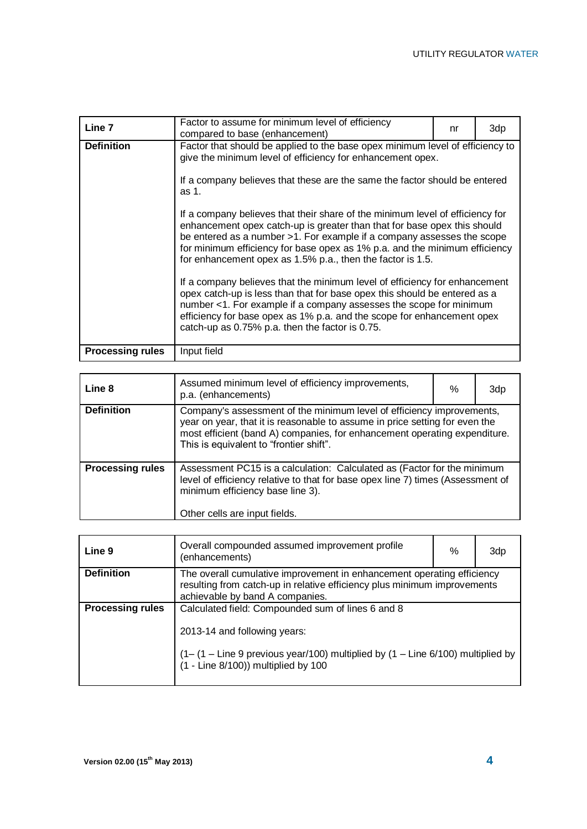| Line 7                  | Factor to assume for minimum level of efficiency<br>compared to base (enhancement)                                                                                                                                                                                                                                                                                              | nr | 3dp |  |
|-------------------------|---------------------------------------------------------------------------------------------------------------------------------------------------------------------------------------------------------------------------------------------------------------------------------------------------------------------------------------------------------------------------------|----|-----|--|
| <b>Definition</b>       | Factor that should be applied to the base opex minimum level of efficiency to<br>give the minimum level of efficiency for enhancement opex.                                                                                                                                                                                                                                     |    |     |  |
|                         | If a company believes that these are the same the factor should be entered<br>as 1.                                                                                                                                                                                                                                                                                             |    |     |  |
|                         | If a company believes that their share of the minimum level of efficiency for<br>enhancement opex catch-up is greater than that for base opex this should<br>be entered as a number >1. For example if a company assesses the scope<br>for minimum efficiency for base opex as 1% p.a. and the minimum efficiency<br>for enhancement opex as 1.5% p.a., then the factor is 1.5. |    |     |  |
|                         | If a company believes that the minimum level of efficiency for enhancement<br>opex catch-up is less than that for base opex this should be entered as a<br>number <1. For example if a company assesses the scope for minimum<br>efficiency for base opex as 1% p.a. and the scope for enhancement opex<br>catch-up as 0.75% p.a. then the factor is 0.75.                      |    |     |  |
| <b>Processing rules</b> | Input field                                                                                                                                                                                                                                                                                                                                                                     |    |     |  |

| Line 8                  | Assumed minimum level of efficiency improvements,<br>p.a. (enhancements)                                                                                                                                                                                                     | % | 3dp |
|-------------------------|------------------------------------------------------------------------------------------------------------------------------------------------------------------------------------------------------------------------------------------------------------------------------|---|-----|
| <b>Definition</b>       | Company's assessment of the minimum level of efficiency improvements,<br>year on year, that it is reasonable to assume in price setting for even the<br>most efficient (band A) companies, for enhancement operating expenditure.<br>This is equivalent to "frontier shift". |   |     |
| <b>Processing rules</b> | Assessment PC15 is a calculation: Calculated as (Factor for the minimum<br>level of efficiency relative to that for base opex line 7) times (Assessment of<br>minimum efficiency base line 3).<br>Other cells are input fields.                                              |   |     |

| Line 9                  | Overall compounded assumed improvement profile<br>(enhancements)                                                                                                                      | % | 3dp |
|-------------------------|---------------------------------------------------------------------------------------------------------------------------------------------------------------------------------------|---|-----|
| <b>Definition</b>       | The overall cumulative improvement in enhancement operating efficiency<br>resulting from catch-up in relative efficiency plus minimum improvements<br>achievable by band A companies. |   |     |
| <b>Processing rules</b> | Calculated field: Compounded sum of lines 6 and 8                                                                                                                                     |   |     |
|                         | 2013-14 and following years:                                                                                                                                                          |   |     |
|                         | $(1 - (1 - Line 9 previous year/100)$ multiplied by $(1 - Line 6/100)$ multiplied by $(1 - Line 8/100)$ ) multiplied by 100                                                           |   |     |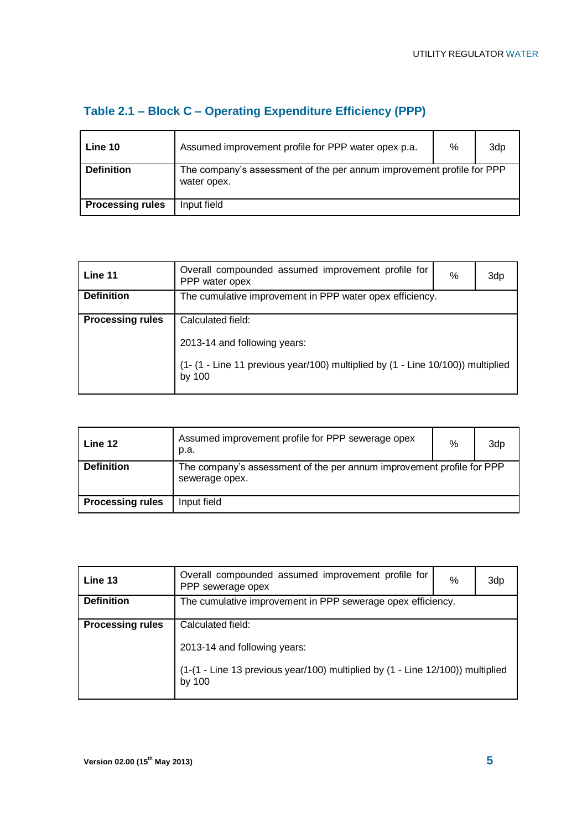| Table 2.1 – Block C – Operating Expenditure Efficiency (PPP) |  |  |
|--------------------------------------------------------------|--|--|
|                                                              |  |  |

| Line 10                 | Assumed improvement profile for PPP water opex p.a.                                  | $\%$ | 3dp |
|-------------------------|--------------------------------------------------------------------------------------|------|-----|
| <b>Definition</b>       | The company's assessment of the per annum improvement profile for PPP<br>water opex. |      |     |
| <b>Processing rules</b> | Input field                                                                          |      |     |

| Line 11                 | Overall compounded assumed improvement profile for<br>PPP water opex                          | % | 3dp |
|-------------------------|-----------------------------------------------------------------------------------------------|---|-----|
| <b>Definition</b>       | The cumulative improvement in PPP water opex efficiency.                                      |   |     |
| <b>Processing rules</b> | Calculated field:                                                                             |   |     |
|                         | 2013-14 and following years:                                                                  |   |     |
|                         | $(1 - (1 - Line 11 previous year/100)$ multiplied by $(1 - Line 10/100)$ multiplied<br>by 100 |   |     |

| Line 12                 | Assumed improvement profile for PPP sewerage opex<br>p.a.                               | % | 3dp |
|-------------------------|-----------------------------------------------------------------------------------------|---|-----|
| <b>Definition</b>       | The company's assessment of the per annum improvement profile for PPP<br>sewerage opex. |   |     |
| <b>Processing rules</b> | Input field                                                                             |   |     |

| Line 13                 | Overall compounded assumed improvement profile for<br>PPP sewerage opex                  | % | 3dp |
|-------------------------|------------------------------------------------------------------------------------------|---|-----|
| <b>Definition</b>       | The cumulative improvement in PPP sewerage opex efficiency.                              |   |     |
| <b>Processing rules</b> | Calculated field:                                                                        |   |     |
|                         | 2013-14 and following years:                                                             |   |     |
|                         | (1-(1 - Line 13 previous year/100) multiplied by (1 - Line 12/100)) multiplied<br>by 100 |   |     |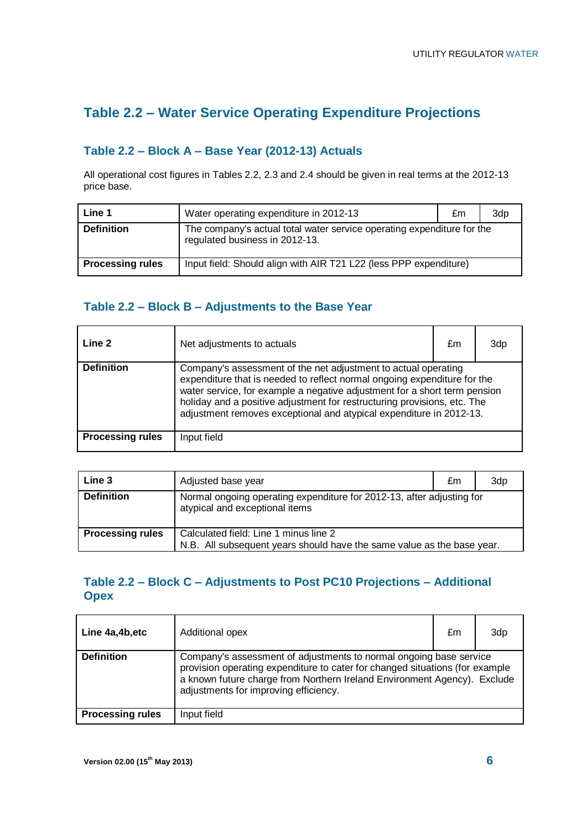## **Table 2.2 – Water Service Operating Expenditure Projections**

#### **Table 2.2 – Block A – Base Year (2012-13) Actuals**

All operational cost figures in Tables 2.2, 2.3 and 2.4 should be given in real terms at the 2012-13 price base.

| Line 1                  | Water operating expenditure in 2012-13                                                                   | £m | 3dp |
|-------------------------|----------------------------------------------------------------------------------------------------------|----|-----|
| <b>Definition</b>       | The company's actual total water service operating expenditure for the<br>regulated business in 2012-13. |    |     |
| <b>Processing rules</b> | Input field: Should align with AIR T21 L22 (less PPP expenditure)                                        |    |     |

#### **Table 2.2 – Block B – Adjustments to the Base Year**

| Line 2                  | Net adjustments to actuals | £m                                                                                                                                                                                                                                                                                                                                                                         | 3dp |
|-------------------------|----------------------------|----------------------------------------------------------------------------------------------------------------------------------------------------------------------------------------------------------------------------------------------------------------------------------------------------------------------------------------------------------------------------|-----|
| <b>Definition</b>       |                            | Company's assessment of the net adjustment to actual operating<br>expenditure that is needed to reflect normal ongoing expenditure for the<br>water service, for example a negative adjustment for a short term pension<br>holiday and a positive adjustment for restructuring provisions, etc. The<br>adjustment removes exceptional and atypical expenditure in 2012-13. |     |
| <b>Processing rules</b> | Input field                |                                                                                                                                                                                                                                                                                                                                                                            |     |

| Line 3                  | Adjusted base year                                                                                              | £m | 3dp |
|-------------------------|-----------------------------------------------------------------------------------------------------------------|----|-----|
| <b>Definition</b>       | Normal ongoing operating expenditure for 2012-13, after adjusting for<br>atypical and exceptional items         |    |     |
| <b>Processing rules</b> | Calculated field: Line 1 minus line 2<br>N.B. All subsequent years should have the same value as the base year. |    |     |

#### **Table 2.2 – Block C – Adjustments to Post PC10 Projections – Additional Opex**

| Line 4a, 4b, etc        | Additional opex                                                                                                                                                                                                                                                         | £m | 3d <sub>p</sub> |
|-------------------------|-------------------------------------------------------------------------------------------------------------------------------------------------------------------------------------------------------------------------------------------------------------------------|----|-----------------|
| <b>Definition</b>       | Company's assessment of adjustments to normal ongoing base service<br>provision operating expenditure to cater for changed situations (for example<br>a known future charge from Northern Ireland Environment Agency). Exclude<br>adjustments for improving efficiency. |    |                 |
| <b>Processing rules</b> | Input field                                                                                                                                                                                                                                                             |    |                 |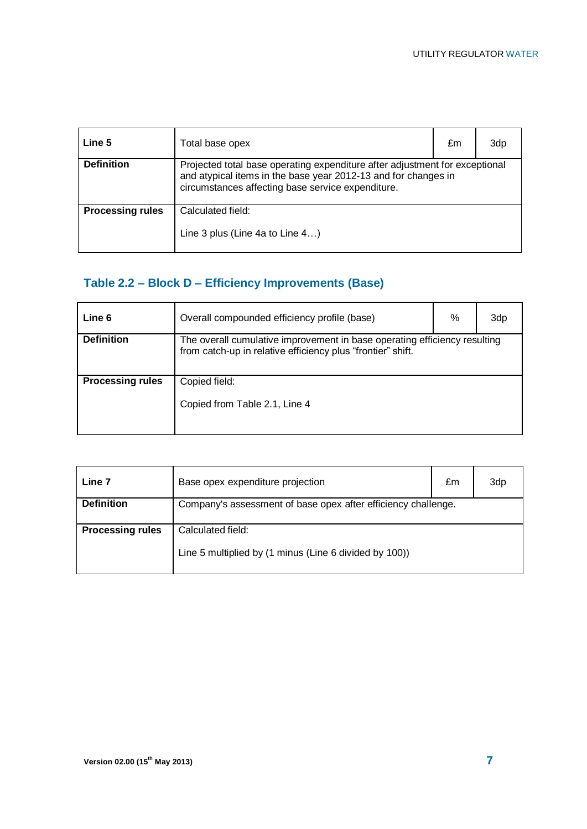| Line 5                  | Total base opex                                                                                                                                                                                    | £m | 3dp |
|-------------------------|----------------------------------------------------------------------------------------------------------------------------------------------------------------------------------------------------|----|-----|
| <b>Definition</b>       | Projected total base operating expenditure after adjustment for exceptional<br>and atypical items in the base year 2012-13 and for changes in<br>circumstances affecting base service expenditure. |    |     |
| <b>Processing rules</b> | Calculated field:<br>Line 3 plus (Line 4a to Line 4)                                                                                                                                               |    |     |

# **Table 2.2 – Block D – Efficiency Improvements (Base)**

| Line 6                  | Overall compounded efficiency profile (base)                                                                                             | % | 3dp |
|-------------------------|------------------------------------------------------------------------------------------------------------------------------------------|---|-----|
| <b>Definition</b>       | The overall cumulative improvement in base operating efficiency resulting<br>from catch-up in relative efficiency plus "frontier" shift. |   |     |
| <b>Processing rules</b> | Copied field:<br>Copied from Table 2.1, Line 4                                                                                           |   |     |

| Line 7                  | Base opex expenditure projection                                            | £m | 3dp |
|-------------------------|-----------------------------------------------------------------------------|----|-----|
| <b>Definition</b>       | Company's assessment of base opex after efficiency challenge.               |    |     |
| <b>Processing rules</b> | Calculated field:<br>Line 5 multiplied by (1 minus (Line 6 divided by 100)) |    |     |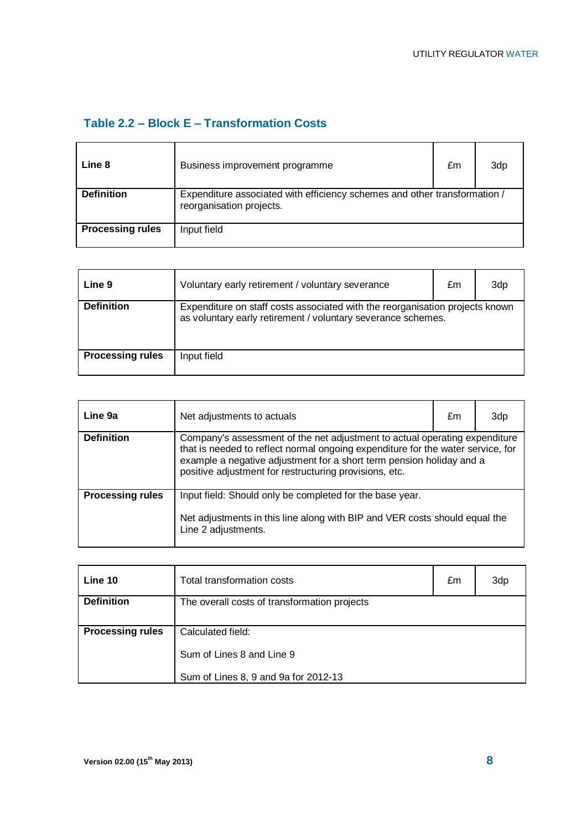#### **Table 2.2 – Block E – Transformation Costs**

| Line 8                  | Business improvement programme                                                                        | £m | 3dp |
|-------------------------|-------------------------------------------------------------------------------------------------------|----|-----|
| <b>Definition</b>       | Expenditure associated with efficiency schemes and other transformation /<br>reorganisation projects. |    |     |
| <b>Processing rules</b> | Input field                                                                                           |    |     |

| Line 9                  | Voluntary early retirement / voluntary severance                                                                                             | £m | 3d <sub>p</sub> |
|-------------------------|----------------------------------------------------------------------------------------------------------------------------------------------|----|-----------------|
| <b>Definition</b>       | Expenditure on staff costs associated with the reorganisation projects known<br>as voluntary early retirement / voluntary severance schemes. |    |                 |
| <b>Processing rules</b> | Input field                                                                                                                                  |    |                 |

| Line 9a                 | Net adjustments to actuals                                                                                                                                                                                                                                                                      | £m | 3dp |
|-------------------------|-------------------------------------------------------------------------------------------------------------------------------------------------------------------------------------------------------------------------------------------------------------------------------------------------|----|-----|
| <b>Definition</b>       | Company's assessment of the net adjustment to actual operating expenditure<br>that is needed to reflect normal ongoing expenditure for the water service, for<br>example a negative adjustment for a short term pension holiday and a<br>positive adjustment for restructuring provisions, etc. |    |     |
| <b>Processing rules</b> | Input field: Should only be completed for the base year.<br>Net adjustments in this line along with BIP and VER costs should equal the<br>Line 2 adjustments.                                                                                                                                   |    |     |

| Line 10                 | Total transformation costs                   | £m | 3dp |
|-------------------------|----------------------------------------------|----|-----|
| <b>Definition</b>       | The overall costs of transformation projects |    |     |
| <b>Processing rules</b> | Calculated field:                            |    |     |
|                         | Sum of Lines 8 and Line 9                    |    |     |
|                         | Sum of Lines 8, 9 and 9a for 2012-13         |    |     |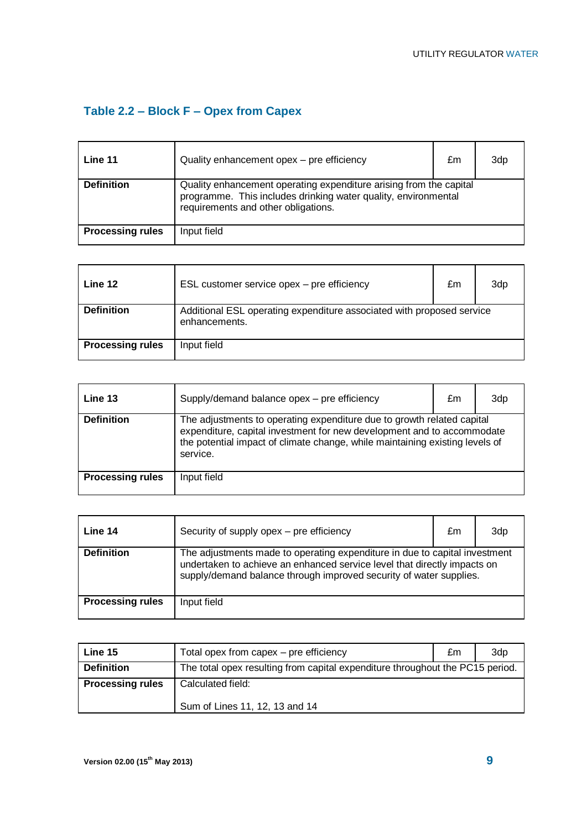# **Table 2.2 – Block F – Opex from Capex**

| Line 11                 | Quality enhancement opex - pre efficiency                                                                                                                                   | £m | 3dp |
|-------------------------|-----------------------------------------------------------------------------------------------------------------------------------------------------------------------------|----|-----|
| <b>Definition</b>       | Quality enhancement operating expenditure arising from the capital<br>programme. This includes drinking water quality, environmental<br>requirements and other obligations. |    |     |
| <b>Processing rules</b> | Input field                                                                                                                                                                 |    |     |

| Line 12                 | ESL customer service opex - pre efficiency                                             | £m | 3d <sub>p</sub> |
|-------------------------|----------------------------------------------------------------------------------------|----|-----------------|
| <b>Definition</b>       | Additional ESL operating expenditure associated with proposed service<br>enhancements. |    |                 |
| <b>Processing rules</b> | Input field                                                                            |    |                 |

| Line 13                 | Supply/demand balance opex - pre efficiency                                                                                                                                                                                                  | £m | 3dp |
|-------------------------|----------------------------------------------------------------------------------------------------------------------------------------------------------------------------------------------------------------------------------------------|----|-----|
| <b>Definition</b>       | The adjustments to operating expenditure due to growth related capital<br>expenditure, capital investment for new development and to accommodate<br>the potential impact of climate change, while maintaining existing levels of<br>service. |    |     |
| <b>Processing rules</b> | Input field                                                                                                                                                                                                                                  |    |     |

| Line 14                 | Security of supply opex – pre efficiency                                                                                                                                                                                     | £m | 3dp |
|-------------------------|------------------------------------------------------------------------------------------------------------------------------------------------------------------------------------------------------------------------------|----|-----|
| <b>Definition</b>       | The adjustments made to operating expenditure in due to capital investment<br>undertaken to achieve an enhanced service level that directly impacts on<br>supply/demand balance through improved security of water supplies. |    |     |
| <b>Processing rules</b> | Input field                                                                                                                                                                                                                  |    |     |

| Line 15                 | Total opex from capex - pre efficiency                                        | £m | 3dp |
|-------------------------|-------------------------------------------------------------------------------|----|-----|
| <b>Definition</b>       | The total opex resulting from capital expenditure throughout the PC15 period. |    |     |
| <b>Processing rules</b> | Calculated field:                                                             |    |     |
|                         | Sum of Lines 11, 12, 13 and 14                                                |    |     |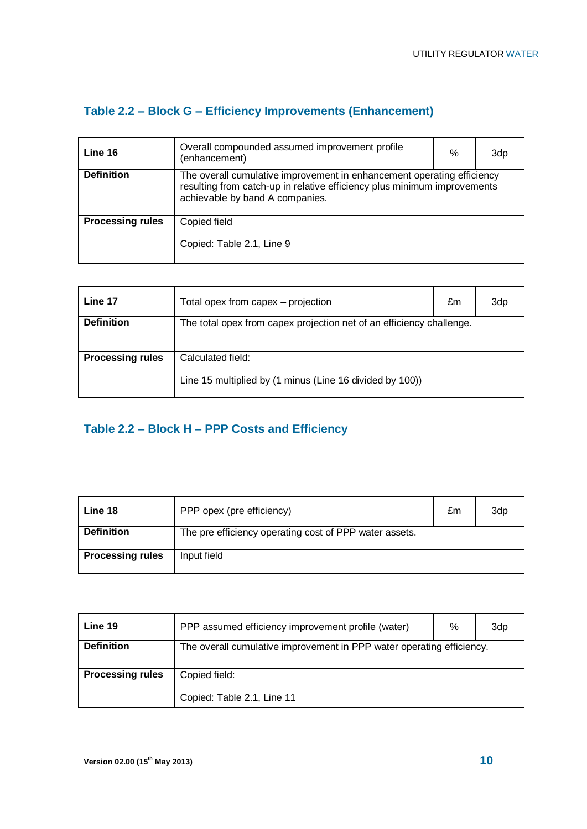## **Table 2.2 – Block G – Efficiency Improvements (Enhancement)**

| Line 16                 | Overall compounded assumed improvement profile<br>(enhancement)                                                                                                                       | % | 3dp |
|-------------------------|---------------------------------------------------------------------------------------------------------------------------------------------------------------------------------------|---|-----|
| <b>Definition</b>       | The overall cumulative improvement in enhancement operating efficiency<br>resulting from catch-up in relative efficiency plus minimum improvements<br>achievable by band A companies. |   |     |
| <b>Processing rules</b> | Copied field                                                                                                                                                                          |   |     |
|                         | Copied: Table 2.1, Line 9                                                                                                                                                             |   |     |

| Line 17                 | Total opex from capex - projection                                            | £m | 3dp |
|-------------------------|-------------------------------------------------------------------------------|----|-----|
| <b>Definition</b>       | The total opex from capex projection net of an efficiency challenge.          |    |     |
| <b>Processing rules</b> | Calculated field:<br>Line 15 multiplied by (1 minus (Line 16 divided by 100)) |    |     |

## **Table 2.2 – Block H – PPP Costs and Efficiency**

| Line 18                 | PPP opex (pre efficiency)                              | £m | 3dp |
|-------------------------|--------------------------------------------------------|----|-----|
| <b>Definition</b>       | The pre efficiency operating cost of PPP water assets. |    |     |
| <b>Processing rules</b> | Input field                                            |    |     |

| Line 19                 | PPP assumed efficiency improvement profile (water)                    | % | 3dp |
|-------------------------|-----------------------------------------------------------------------|---|-----|
| <b>Definition</b>       | The overall cumulative improvement in PPP water operating efficiency. |   |     |
| <b>Processing rules</b> | Copied field:<br>Copied: Table 2.1, Line 11                           |   |     |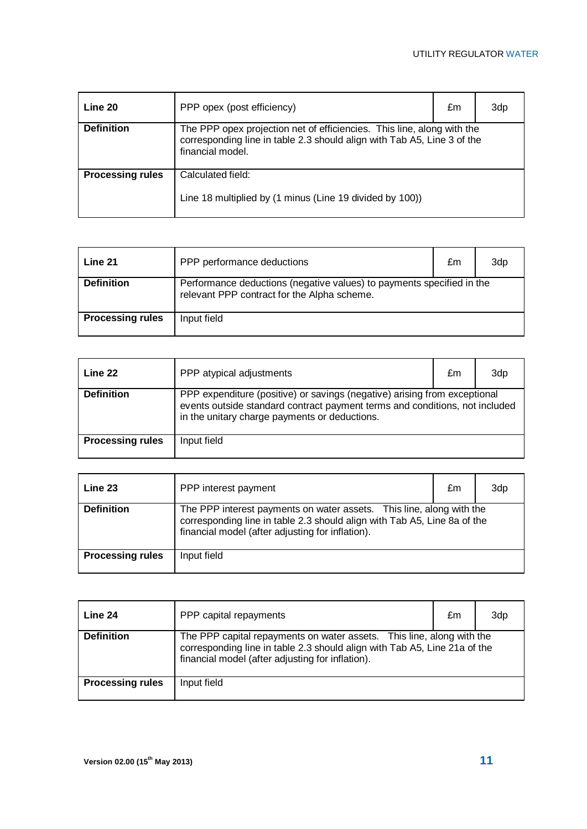| Line 20                 | PPP opex (post efficiency)                                                                                                                                            | £m | 3dp |
|-------------------------|-----------------------------------------------------------------------------------------------------------------------------------------------------------------------|----|-----|
| <b>Definition</b>       | The PPP opex projection net of efficiencies. This line, along with the<br>corresponding line in table 2.3 should align with Tab A5, Line 3 of the<br>financial model. |    |     |
| <b>Processing rules</b> | Calculated field:<br>Line 18 multiplied by (1 minus (Line 19 divided by 100))                                                                                         |    |     |

| Line 21                 | PPP performance deductions                                                                                           | £m | 3d <sub>p</sub> |
|-------------------------|----------------------------------------------------------------------------------------------------------------------|----|-----------------|
| <b>Definition</b>       | Performance deductions (negative values) to payments specified in the<br>relevant PPP contract for the Alpha scheme. |    |                 |
| <b>Processing rules</b> | Input field                                                                                                          |    |                 |

| Line 22                 | PPP atypical adjustments                                                                                                                                                                                  | £m | 3dp |
|-------------------------|-----------------------------------------------------------------------------------------------------------------------------------------------------------------------------------------------------------|----|-----|
| <b>Definition</b>       | PPP expenditure (positive) or savings (negative) arising from exceptional<br>events outside standard contract payment terms and conditions, not included<br>in the unitary charge payments or deductions. |    |     |
| <b>Processing rules</b> | Input field                                                                                                                                                                                               |    |     |

| Line 23                 | PPP interest payment                                                                                                                                                                                 | £m | 3dp |
|-------------------------|------------------------------------------------------------------------------------------------------------------------------------------------------------------------------------------------------|----|-----|
| <b>Definition</b>       | The PPP interest payments on water assets. This line, along with the<br>corresponding line in table 2.3 should align with Tab A5, Line 8a of the<br>financial model (after adjusting for inflation). |    |     |
| <b>Processing rules</b> | Input field                                                                                                                                                                                          |    |     |

| Line 24                 | PPP capital repayments                                                                                                                                                                                 | £m | 3dp |
|-------------------------|--------------------------------------------------------------------------------------------------------------------------------------------------------------------------------------------------------|----|-----|
| <b>Definition</b>       | The PPP capital repayments on water assets. This line, along with the<br>corresponding line in table 2.3 should align with Tab A5, Line 21a of the<br>financial model (after adjusting for inflation). |    |     |
| <b>Processing rules</b> | Input field                                                                                                                                                                                            |    |     |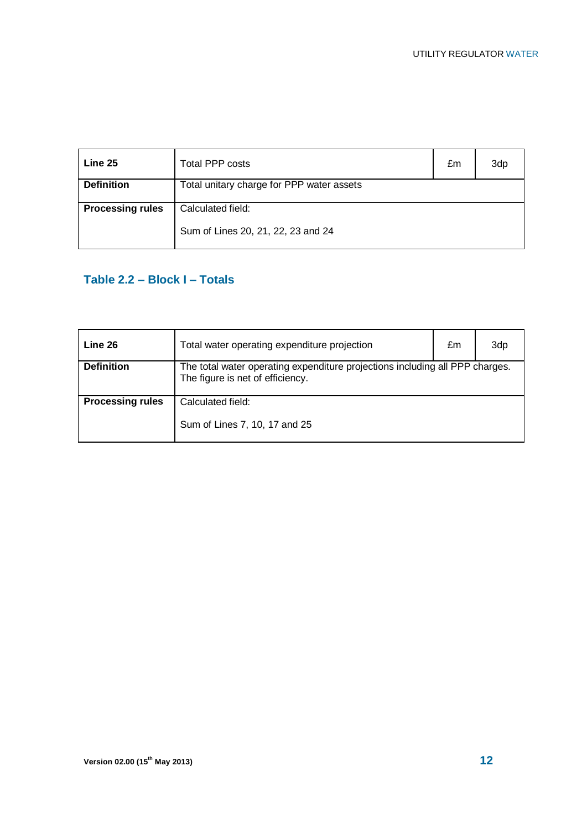| Line 25                 | Total PPP costs                                         | £m | 3dp |
|-------------------------|---------------------------------------------------------|----|-----|
| <b>Definition</b>       | Total unitary charge for PPP water assets               |    |     |
| <b>Processing rules</b> | Calculated field:<br>Sum of Lines 20, 21, 22, 23 and 24 |    |     |

## **Table 2.2 – Block I – Totals**

| Line 26                 | Total water operating expenditure projection                                                                     | £m | 3dp |
|-------------------------|------------------------------------------------------------------------------------------------------------------|----|-----|
| <b>Definition</b>       | The total water operating expenditure projections including all PPP charges.<br>The figure is net of efficiency. |    |     |
| <b>Processing rules</b> | Calculated field:<br>Sum of Lines 7, 10, 17 and 25                                                               |    |     |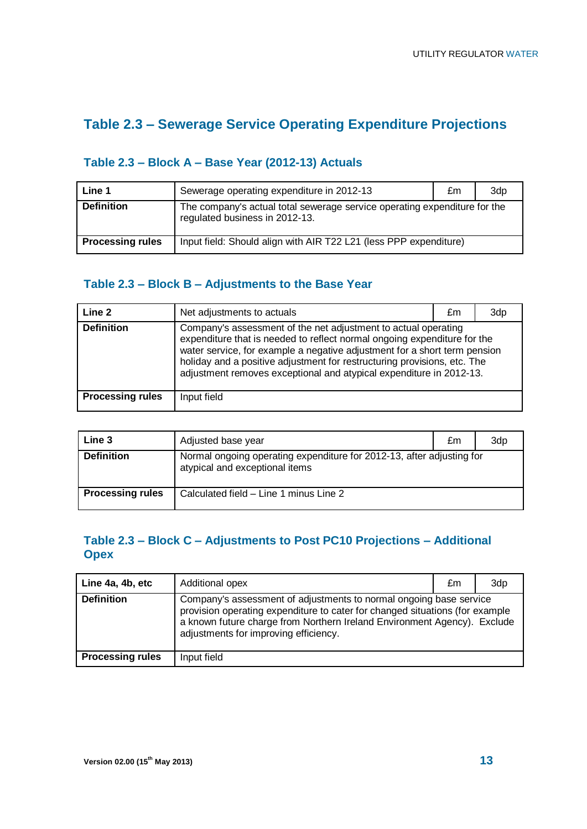## **Table 2.3 – Sewerage Service Operating Expenditure Projections**

#### **Table 2.3 – Block A – Base Year (2012-13) Actuals**

| Line 1                  | Sewerage operating expenditure in 2012-13                                                                   | £m | 3dp |
|-------------------------|-------------------------------------------------------------------------------------------------------------|----|-----|
| <b>Definition</b>       | The company's actual total sewerage service operating expenditure for the<br>regulated business in 2012-13. |    |     |
| <b>Processing rules</b> | Input field: Should align with AIR T22 L21 (less PPP expenditure)                                           |    |     |

#### **Table 2.3 – Block B – Adjustments to the Base Year**

| Line 2                  | Net adjustments to actuals                                                                                                                                                                                                                                                                                                                                                 | £m | 3dp |
|-------------------------|----------------------------------------------------------------------------------------------------------------------------------------------------------------------------------------------------------------------------------------------------------------------------------------------------------------------------------------------------------------------------|----|-----|
| <b>Definition</b>       | Company's assessment of the net adjustment to actual operating<br>expenditure that is needed to reflect normal ongoing expenditure for the<br>water service, for example a negative adjustment for a short term pension<br>holiday and a positive adjustment for restructuring provisions, etc. The<br>adjustment removes exceptional and atypical expenditure in 2012-13. |    |     |
| <b>Processing rules</b> | Input field                                                                                                                                                                                                                                                                                                                                                                |    |     |

| Line 3                  | Adjusted base year                                                                                      | £m | 3dp |
|-------------------------|---------------------------------------------------------------------------------------------------------|----|-----|
| <b>Definition</b>       | Normal ongoing operating expenditure for 2012-13, after adjusting for<br>atypical and exceptional items |    |     |
| <b>Processing rules</b> | Calculated field - Line 1 minus Line 2                                                                  |    |     |

#### **Table 2.3 – Block C – Adjustments to Post PC10 Projections – Additional Opex**

| Line 4a, 4b, etc        | Additional opex                                                                                                                                                                                                                                                         | £m | 3dp |
|-------------------------|-------------------------------------------------------------------------------------------------------------------------------------------------------------------------------------------------------------------------------------------------------------------------|----|-----|
| <b>Definition</b>       | Company's assessment of adjustments to normal ongoing base service<br>provision operating expenditure to cater for changed situations (for example<br>a known future charge from Northern Ireland Environment Agency). Exclude<br>adjustments for improving efficiency. |    |     |
| <b>Processing rules</b> | Input field                                                                                                                                                                                                                                                             |    |     |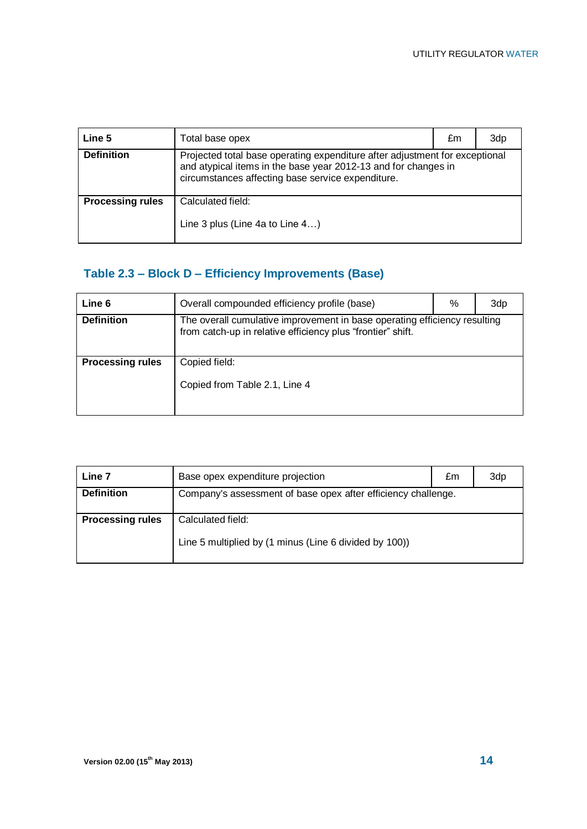| Line 5                  | Total base opex                                                                                                                                                                                    | £m | 3dp |
|-------------------------|----------------------------------------------------------------------------------------------------------------------------------------------------------------------------------------------------|----|-----|
| <b>Definition</b>       | Projected total base operating expenditure after adjustment for exceptional<br>and atypical items in the base year 2012-13 and for changes in<br>circumstances affecting base service expenditure. |    |     |
| <b>Processing rules</b> | Calculated field:<br>Line 3 plus (Line 4a to Line 4)                                                                                                                                               |    |     |

## **Table 2.3 – Block D – Efficiency Improvements (Base)**

| Line 6                  | Overall compounded efficiency profile (base)                                                                                             | % | 3dp |
|-------------------------|------------------------------------------------------------------------------------------------------------------------------------------|---|-----|
| <b>Definition</b>       | The overall cumulative improvement in base operating efficiency resulting<br>from catch-up in relative efficiency plus "frontier" shift. |   |     |
| <b>Processing rules</b> | Copied field:<br>Copied from Table 2.1, Line 4                                                                                           |   |     |

| Line 7                  | Base opex expenditure projection                                            | £m | 3dp |
|-------------------------|-----------------------------------------------------------------------------|----|-----|
| <b>Definition</b>       | Company's assessment of base opex after efficiency challenge.               |    |     |
| <b>Processing rules</b> | Calculated field:<br>Line 5 multiplied by (1 minus (Line 6 divided by 100)) |    |     |
|                         |                                                                             |    |     |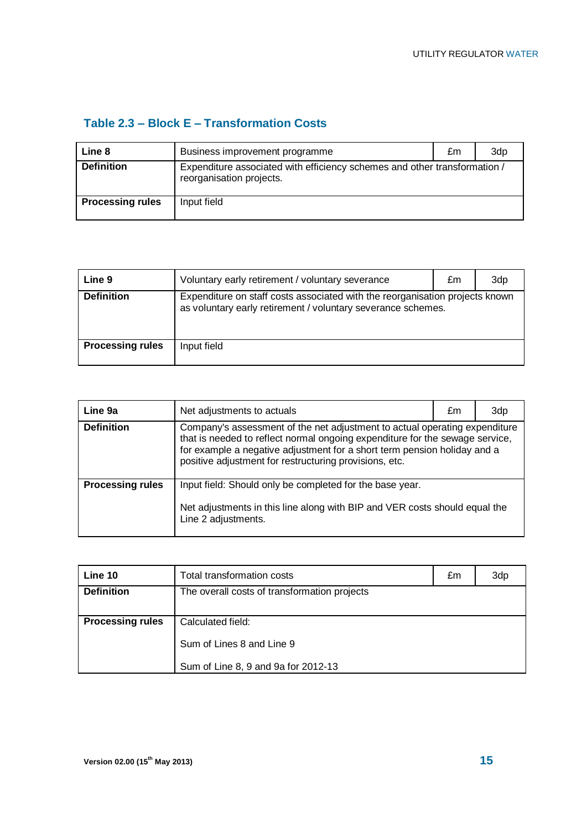#### **Table 2.3 – Block E – Transformation Costs**

| Line 8                  | Business improvement programme                                                                        | £m | 3dp |
|-------------------------|-------------------------------------------------------------------------------------------------------|----|-----|
| <b>Definition</b>       | Expenditure associated with efficiency schemes and other transformation /<br>reorganisation projects. |    |     |
| <b>Processing rules</b> | Input field                                                                                           |    |     |

| Line 9                  | Voluntary early retirement / voluntary severance                                                                                             | £m | 3dp |
|-------------------------|----------------------------------------------------------------------------------------------------------------------------------------------|----|-----|
| <b>Definition</b>       | Expenditure on staff costs associated with the reorganisation projects known<br>as voluntary early retirement / voluntary severance schemes. |    |     |
| <b>Processing rules</b> | Input field                                                                                                                                  |    |     |

| Line 9a                 | Net adjustments to actuals                                                                                                                                                                                                                                                                       | £m | 3dp |
|-------------------------|--------------------------------------------------------------------------------------------------------------------------------------------------------------------------------------------------------------------------------------------------------------------------------------------------|----|-----|
| <b>Definition</b>       | Company's assessment of the net adjustment to actual operating expenditure<br>that is needed to reflect normal ongoing expenditure for the sewage service,<br>for example a negative adjustment for a short term pension holiday and a<br>positive adjustment for restructuring provisions, etc. |    |     |
| <b>Processing rules</b> | Input field: Should only be completed for the base year.<br>Net adjustments in this line along with BIP and VER costs should equal the<br>Line 2 adjustments.                                                                                                                                    |    |     |

| Line 10                 | Total transformation costs                   | £m | 3dp |
|-------------------------|----------------------------------------------|----|-----|
| <b>Definition</b>       | The overall costs of transformation projects |    |     |
| <b>Processing rules</b> | Calculated field:                            |    |     |
|                         | Sum of Lines 8 and Line 9                    |    |     |
|                         | Sum of Line 8, 9 and 9a for 2012-13          |    |     |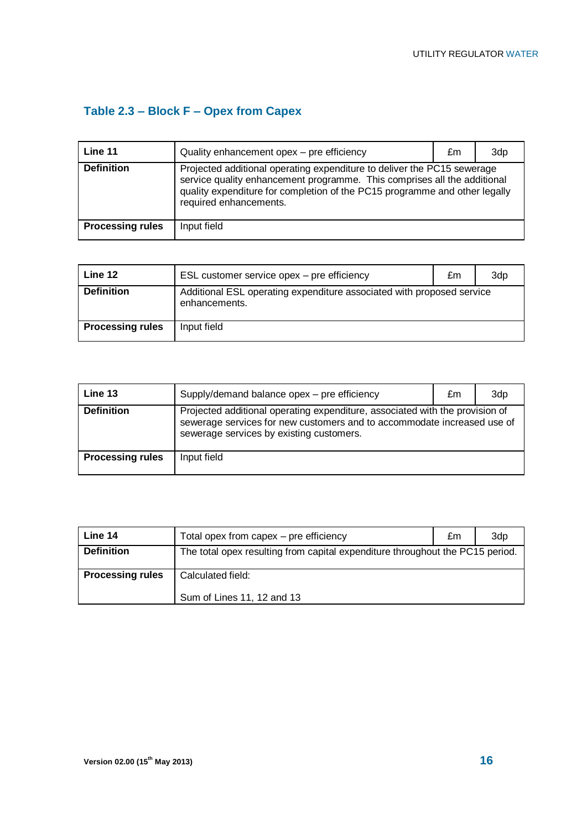# **Table 2.3 – Block F – Opex from Capex**

| Line 11                 | Quality enhancement opex - pre efficiency                                                                                                                                                                                                                   | £m | 3dp |
|-------------------------|-------------------------------------------------------------------------------------------------------------------------------------------------------------------------------------------------------------------------------------------------------------|----|-----|
| <b>Definition</b>       | Projected additional operating expenditure to deliver the PC15 sewerage<br>service quality enhancement programme. This comprises all the additional<br>quality expenditure for completion of the PC15 programme and other legally<br>required enhancements. |    |     |
| <b>Processing rules</b> | Input field                                                                                                                                                                                                                                                 |    |     |

| Line 12                 | ESL customer service opex – pre efficiency                                             | £m | 3dp |
|-------------------------|----------------------------------------------------------------------------------------|----|-----|
| <b>Definition</b>       | Additional ESL operating expenditure associated with proposed service<br>enhancements. |    |     |
| <b>Processing rules</b> | Input field                                                                            |    |     |

| Line 13                 | Supply/demand balance opex - pre efficiency                                                                                                                                                         | £m | 3dp |
|-------------------------|-----------------------------------------------------------------------------------------------------------------------------------------------------------------------------------------------------|----|-----|
| <b>Definition</b>       | Projected additional operating expenditure, associated with the provision of<br>sewerage services for new customers and to accommodate increased use of<br>sewerage services by existing customers. |    |     |
| <b>Processing rules</b> | Input field                                                                                                                                                                                         |    |     |

| Line 14                 | Total opex from capex – pre efficiency                                        | £m | 3dp |
|-------------------------|-------------------------------------------------------------------------------|----|-----|
| <b>Definition</b>       | The total opex resulting from capital expenditure throughout the PC15 period. |    |     |
| <b>Processing rules</b> | Calculated field:<br>Sum of Lines 11, 12 and 13                               |    |     |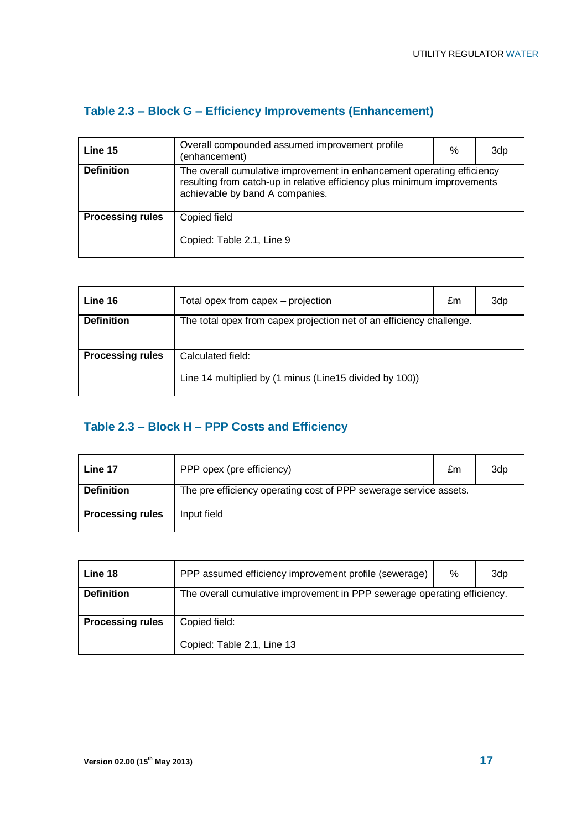## **Table 2.3 – Block G – Efficiency Improvements (Enhancement)**

| Line 15                 | Overall compounded assumed improvement profile<br>(enhancement)                                                                                                                       | % | 3dp |
|-------------------------|---------------------------------------------------------------------------------------------------------------------------------------------------------------------------------------|---|-----|
| <b>Definition</b>       | The overall cumulative improvement in enhancement operating efficiency<br>resulting from catch-up in relative efficiency plus minimum improvements<br>achievable by band A companies. |   |     |
| <b>Processing rules</b> | Copied field                                                                                                                                                                          |   |     |
|                         | Copied: Table 2.1, Line 9                                                                                                                                                             |   |     |

| Line 16                 | Total opex from capex - projection                                   | £m | 3dp |
|-------------------------|----------------------------------------------------------------------|----|-----|
| <b>Definition</b>       | The total opex from capex projection net of an efficiency challenge. |    |     |
|                         |                                                                      |    |     |
| <b>Processing rules</b> | Calculated field:                                                    |    |     |
|                         | Line 14 multiplied by (1 minus (Line15 divided by 100))              |    |     |

#### **Table 2.3 – Block H – PPP Costs and Efficiency**

| Line 17                 | PPP opex (pre efficiency)                                         | £m | 3dp |
|-------------------------|-------------------------------------------------------------------|----|-----|
| <b>Definition</b>       | The pre efficiency operating cost of PPP sewerage service assets. |    |     |
| <b>Processing rules</b> | Input field                                                       |    |     |

| Line 18                 | PPP assumed efficiency improvement profile (sewerage)                    | % | 3dp |
|-------------------------|--------------------------------------------------------------------------|---|-----|
| <b>Definition</b>       | The overall cumulative improvement in PPP sewerage operating efficiency. |   |     |
| <b>Processing rules</b> | Copied field:<br>Copied: Table 2.1, Line 13                              |   |     |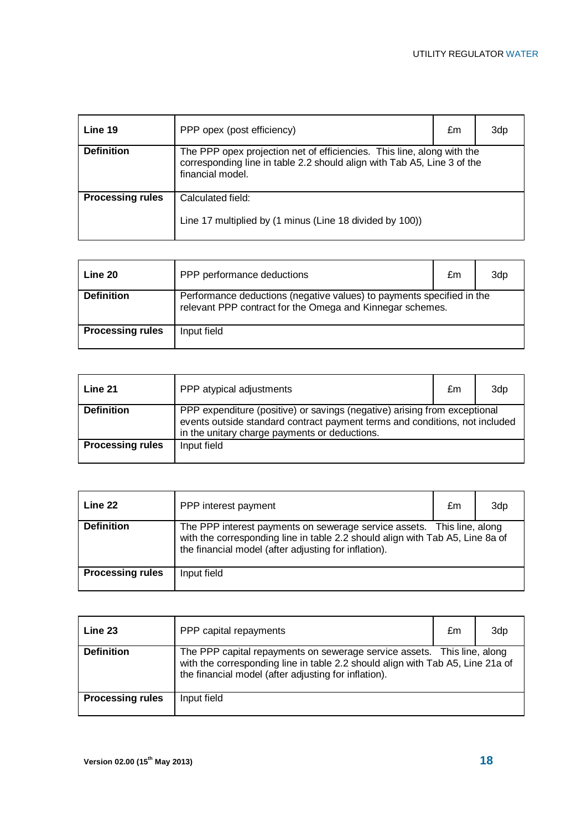| Line 19                 | PPP opex (post efficiency)                                                                                                                                            | £m | 3dp |
|-------------------------|-----------------------------------------------------------------------------------------------------------------------------------------------------------------------|----|-----|
| <b>Definition</b>       | The PPP opex projection net of efficiencies. This line, along with the<br>corresponding line in table 2.2 should align with Tab A5, Line 3 of the<br>financial model. |    |     |
| <b>Processing rules</b> | Calculated field:<br>Line 17 multiplied by (1 minus (Line 18 divided by 100))                                                                                         |    |     |

| Line 20                 | PPP performance deductions                                                                                                         | £m | 3dp |
|-------------------------|------------------------------------------------------------------------------------------------------------------------------------|----|-----|
| <b>Definition</b>       | Performance deductions (negative values) to payments specified in the<br>relevant PPP contract for the Omega and Kinnegar schemes. |    |     |
| <b>Processing rules</b> | Input field                                                                                                                        |    |     |

| Line 21                 | PPP atypical adjustments                                                                                                                                                                                  | £m | 3dp |
|-------------------------|-----------------------------------------------------------------------------------------------------------------------------------------------------------------------------------------------------------|----|-----|
| <b>Definition</b>       | PPP expenditure (positive) or savings (negative) arising from exceptional<br>events outside standard contract payment terms and conditions, not included<br>in the unitary charge payments or deductions. |    |     |
| <b>Processing rules</b> | Input field                                                                                                                                                                                               |    |     |

| Line 22                 | PPP interest payment                                                                                                                                                                                            | £m | 3dp |
|-------------------------|-----------------------------------------------------------------------------------------------------------------------------------------------------------------------------------------------------------------|----|-----|
| <b>Definition</b>       | The PPP interest payments on sewerage service assets. This line, along<br>with the corresponding line in table 2.2 should align with Tab A5, Line 8a of<br>the financial model (after adjusting for inflation). |    |     |
| <b>Processing rules</b> | Input field                                                                                                                                                                                                     |    |     |

| Line 23                 | PPP capital repayments                                                                                                                                                                                            | £m | 3dp |
|-------------------------|-------------------------------------------------------------------------------------------------------------------------------------------------------------------------------------------------------------------|----|-----|
| <b>Definition</b>       | The PPP capital repayments on sewerage service assets. This line, along<br>with the corresponding line in table 2.2 should align with Tab A5, Line 21a of<br>the financial model (after adjusting for inflation). |    |     |
| <b>Processing rules</b> | Input field                                                                                                                                                                                                       |    |     |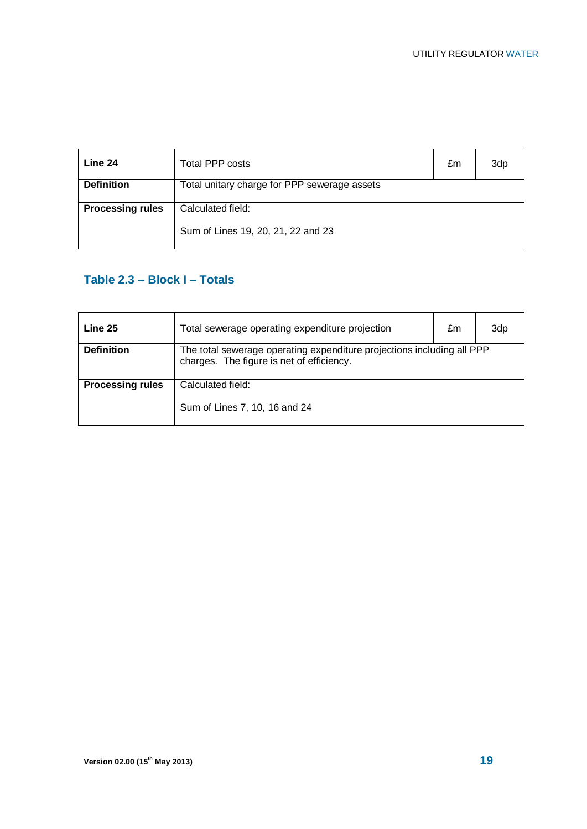| Line 24                 | Total PPP costs                                         | £m | 3dp |
|-------------------------|---------------------------------------------------------|----|-----|
| <b>Definition</b>       | Total unitary charge for PPP sewerage assets            |    |     |
| <b>Processing rules</b> | Calculated field:<br>Sum of Lines 19, 20, 21, 22 and 23 |    |     |

### **Table 2.3 – Block I – Totals**

| Line 25                 | Total sewerage operating expenditure projection                                                                     | £m | 3dp |
|-------------------------|---------------------------------------------------------------------------------------------------------------------|----|-----|
| <b>Definition</b>       | The total sewerage operating expenditure projections including all PPP<br>charges. The figure is net of efficiency. |    |     |
| <b>Processing rules</b> | Calculated field:<br>Sum of Lines 7, 10, 16 and 24                                                                  |    |     |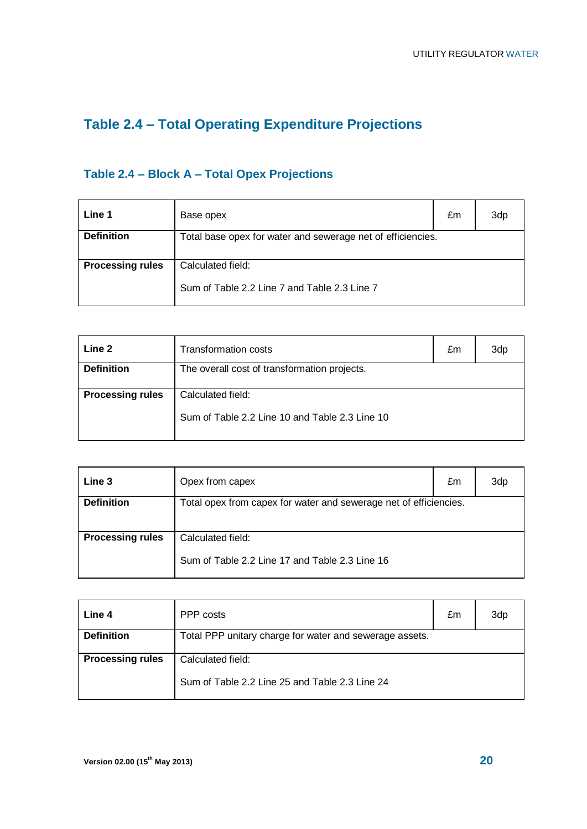# **Table 2.4 – Total Operating Expenditure Projections**

# **Table 2.4 – Block A – Total Opex Projections**

| Line 1                  | Base opex                                                         | £m | 3dp |
|-------------------------|-------------------------------------------------------------------|----|-----|
| <b>Definition</b>       | Total base opex for water and sewerage net of efficiencies.       |    |     |
| <b>Processing rules</b> | Calculated field:<br>Sum of Table 2.2 Line 7 and Table 2.3 Line 7 |    |     |

| Line 2                  | Transformation costs                                                | £m | 3dp |
|-------------------------|---------------------------------------------------------------------|----|-----|
| <b>Definition</b>       | The overall cost of transformation projects.                        |    |     |
| <b>Processing rules</b> | Calculated field:<br>Sum of Table 2.2 Line 10 and Table 2.3 Line 10 |    |     |

| Line 3                  | Opex from capex                                                   | £m | 3dp |
|-------------------------|-------------------------------------------------------------------|----|-----|
| <b>Definition</b>       | Total opex from capex for water and sewerage net of efficiencies. |    |     |
|                         |                                                                   |    |     |
| <b>Processing rules</b> | Calculated field:                                                 |    |     |
|                         | Sum of Table 2.2 Line 17 and Table 2.3 Line 16                    |    |     |

| Line 4                  | PPP costs                                                           | £m | 3dr |
|-------------------------|---------------------------------------------------------------------|----|-----|
| <b>Definition</b>       | Total PPP unitary charge for water and sewerage assets.             |    |     |
| <b>Processing rules</b> | Calculated field:<br>Sum of Table 2.2 Line 25 and Table 2.3 Line 24 |    |     |